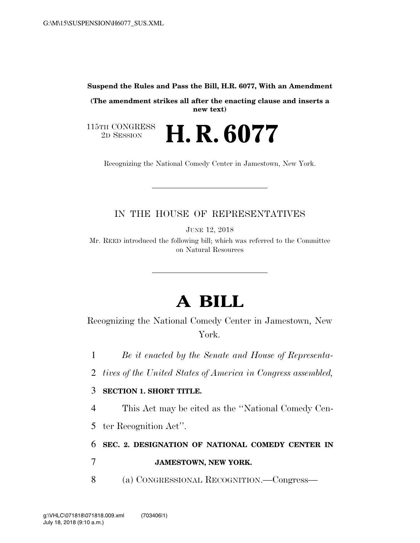#### **Suspend the Rules and Pass the Bill, H.R. 6077, With an Amendment**

**(The amendment strikes all after the enacting clause and inserts a new text)** 

115TH CONGRESS<br>2D SESSION 2D SESSION **H. R. 6077**

Recognizing the National Comedy Center in Jamestown, New York.

### IN THE HOUSE OF REPRESENTATIVES

JUNE 12, 2018

Mr. REED introduced the following bill; which was referred to the Committee on Natural Resources

# **A BILL**

Recognizing the National Comedy Center in Jamestown, New York.

1 *Be it enacted by the Senate and House of Representa-*

2 *tives of the United States of America in Congress assembled,* 

#### 3 **SECTION 1. SHORT TITLE.**

4 This Act may be cited as the ''National Comedy Cen-

5 ter Recognition Act''.

## 6 **SEC. 2. DESIGNATION OF NATIONAL COMEDY CENTER IN**

### 7 **JAMESTOWN, NEW YORK.**

8 (a) CONGRESSIONAL RECOGNITION.—Congress—